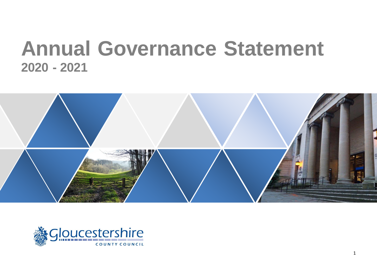# **Annual Governance Statement - 2021**



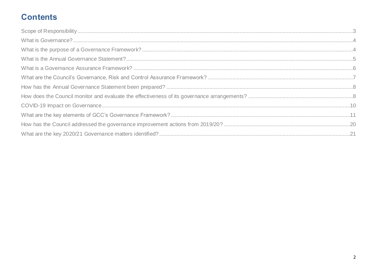# **Contents**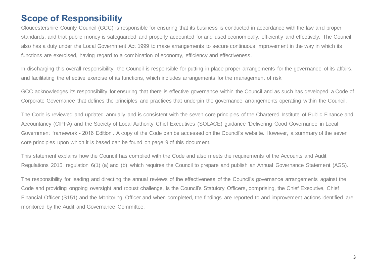# <span id="page-2-0"></span>**Scope of Responsibility**

Gloucestershire County Council (GCC) is responsible for ensuring that its business is conducted in accordance with the law and proper standards, and that public money is safeguarded and properly accounted for and used economically, efficiently and effectively. The Council also has a duty under the Local Government Act 1999 to make arrangements to secure continuous improvement in the way in which its functions are exercised, having regard to a combination of economy, efficiency and effectiveness.

In discharging this overall responsibility, the Council is responsible for putting in place proper arrangements for the governance of its affairs, and facilitating the effective exercise of its functions, which includes arrangements for the management of risk.

GCC acknowledges its responsibility for ensuring that there is effective governance within the Council and as such has developed a Code of Corporate Governance that defines the principles and practices that underpin the governance arrangements operating within the Council.

The Code is reviewed and updated annually and is consistent with the seven core principles of the Chartered Institute of Public Finance and Accountancy (CIPFA) and the Society of Local Authority Chief Executives (SOLACE) guidance 'Delivering Good Governance in Local Government framework - 2016 Edition'. A copy of the Code can be accessed on the Council's website. However, a summary of the seven core principles upon which it is based can be found on page 9 of this document.

This statement explains how the Council has complied with the Code and also meets the requirements of the Accounts and Audit Regulations 2015, regulation 6(1) (a) and (b), which requires the Council to prepare and publish an Annual Governance Statement (AGS).

The responsibility for leading and directing the annual reviews of the effectiveness of the Council's governance arrangements against the Code and providing ongoing oversight and robust challenge, is the Council's Statutory Officers, comprising, the Chief Executive, Chief Financial Officer (S151) and the Monitoring Officer and when completed, the findings are reported to and improvement actions identified are monitored by the Audit and Governance Committee.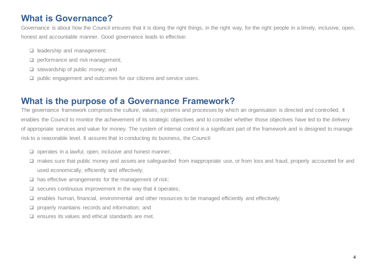# <span id="page-3-0"></span>**What is Governance?**

Governance is about how the Council ensures that it is doing the right things, in the right way, for the right people in a timely, inclusive, open, honest and accountable manner. Good governance leads to effective:

- ❑ leadership and management;
- ❑ performance and risk management;
- ❑ stewardship of public money; and
- ❑ public engagement and outcomes for our citizens and service users.

### <span id="page-3-1"></span>**What is the purpose of a Governance Framework?**

The governance framework comprises the culture, values, systems and processes by which an organisation is directed and controlled. It enables the Council to monitor the achievement of its strategic objectives and to consider whether those objectives have led to the delivery of appropriate services and value for money. The system of internal control is a significant part of the framework and is designed to manage risk to a reasonable level. It assures that in conducting its business, the Council:

- ❑ operates in a lawful, open, inclusive and honest manner;
- □ makes sure that public money and assets are safeguarded from inappropriate use, or from loss and fraud, properly accounted for and used economically, efficiently and effectively;
- ❑ has effective arrangements for the management of risk;
- $\Box$  secures continuous improvement in the way that it operates;
- ❑ enables human, financial, environmental and other resources to be managed efficiently and effectively;
- ❑ properly maintains records and information; and
- ❑ ensures its values and ethical standards are met.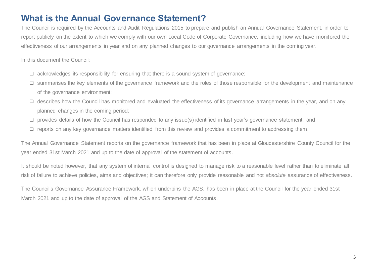# <span id="page-4-0"></span>**What is the Annual Governance Statement?**

The Council is required by the Accounts and Audit Regulations 2015 to prepare and publish an Annual Governance Statement, in order to report publicly on the extent to which we comply with our own Local Code of Corporate Governance, including how we have monitored the effectiveness of our arrangements in year and on any planned changes to our governance arrangements in the coming year.

In this document the Council:

- ❑ acknowledges its responsibility for ensuring that there is a sound system of governance;
- ❑ summarises the key elements of the governance framework and the roles of those responsible for the development and maintenance of the governance environment;
- ❑ describes how the Council has monitored and evaluated the effectiveness of its governance arrangements in the year, and on any planned changes in the coming period;
- ❑ provides details of how the Council has responded to any issue(s) identified in last year's governance statement; and
- ❑ reports on any key governance matters identified from this review and provides a commitment to addressing them.

The Annual Governance Statement reports on the governance framework that has been in place at Gloucestershire County Council for the year ended 31st March 2021 and up to the date of approval of the statement of accounts.

It should be noted however, that any system of internal control is designed to manage risk to a reasonable level rather than to eliminate all risk of failure to achieve policies, aims and objectives; it can therefore only provide reasonable and not *absolute* assurance of effectiveness.

The Council's Governance Assurance Framework, which underpins the AGS, has been in place at the Council for the year ended 31st March 2021 and up to the date of approval of the AGS and Statement of Accounts.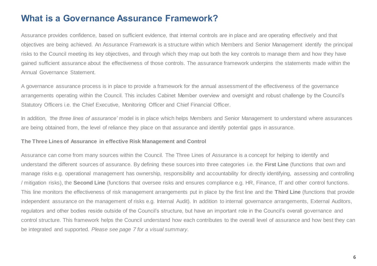### <span id="page-5-0"></span>**What is a Governance Assurance Framework?**

Assurance provides confidence, based on sufficient evidence, that internal controls are in place and are operating effectively and that objectives are being achieved. An Assurance Framework is a structure within which Members and Senior Management identify the principal risks to the Council meeting its key objectives, and through which they map out both the key controls to manage them and how they have gained sufficient assurance about the effectiveness of those controls. The assurance framework underpins the statements made within the Annual Governance Statement.

A governance assurance process is in place to provide a framework for the annual assessment of the effectiveness of the governance arrangements operating within the Council. This includes Cabinet Member overview and oversight and robust challenge by the Council's Statutory Officers i.e. the Chief Executive, Monitoring Officer and Chief Financial Officer.

In addition, *'the three lines of assurance'* model is in place which helps Members and Senior Management to understand where assurances are being obtained from, the level of reliance they place on that assurance and identify potential gaps in assurance.

### **The Three Lines of Assurance in effective Risk Management and Control**

Assurance can come from many sources within the Council. The Three Lines of Assurance is a concept for helping to identify and understand the different sources of assurance. By defining these sources into three categories i.e. the **First Line** (functions that own and manage risks e.g. operational management has ownership, responsibility and accountability for directly identifying, assessing and controlling / mitigation risks), the **Second Line** (functions that oversee risks and ensures compliance e.g. HR, Finance, IT and other control functions. This line monitors the effectiveness of risk management arrangements put in place by the first line and the **Third Line** (functions that provide independent assurance on the management of risks e.g. Internal Audit). In addition to internal governance arrangements, External Auditors, regulators and other bodies reside outside of the Council's structure, but have an important role in the Council's overall governance and control structure. This framework helps the Council understand how each contributes to the overall level of assurance and how best they can be integrated and supported. *Please see page 7 for a visual summary.*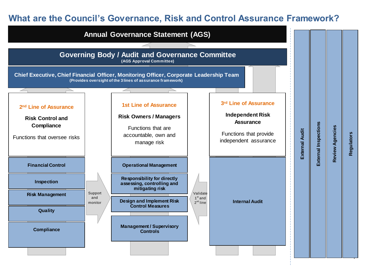# <span id="page-6-0"></span>**What are the Council's Governance, Risk and Control Assurance Framework?**

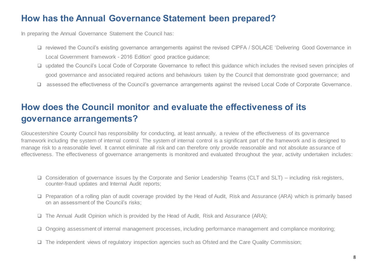# <span id="page-7-0"></span>**How has the Annual Governance Statement been prepared?**

In preparing the Annual Governance Statement the Council has:

- ❑ reviewed the Council's existing governance arrangements against the revised CIPFA / SOLACE 'Delivering Good Governance in Local Government framework - 2016 Edition' good practice guidance;
- ❑ updated the Council's Local Code of Corporate Governance to reflect this guidance which includes the revised seven principles of good governance and associated required actions and behaviours taken by the Council that demonstrate good governance; and
- ❑ assessed the effectiveness of the Council's governance arrangements against the revised Local Code of Corporate Governance.

# <span id="page-7-1"></span>**How does the Council monitor and evaluate the effectiveness of its governance arrangements?**

Gloucestershire County Council has responsibility for conducting, at least annually, a review of the effectiveness of its governance framework including the system of internal control. The system of internal control is a significant part of the framework and is designed to manage risk to a reasonable level. It cannot eliminate all risk and can therefore only provide reasonable and not absolute assurance of effectiveness. The effectiveness of governance arrangements is monitored and evaluated throughout the year, activity undertaken includes:

- ❑ Consideration of governance issues by the Corporate and Senior Leadership Teams (CLT and SLT) including risk registers, counter-fraud updates and Internal Audit reports;
- ❑ Preparation of a rolling plan of audit coverage provided by the Head of Audit, Risk and Assurance (ARA) which is primarily based on an assessment of the Council's risks;
- ❑ The Annual Audit Opinion which is provided by the Head of Audit, Risk and Assurance (ARA);
- ❑ Ongoing assessment of internal management processes, including performance management and compliance monitoring;
- ❑ The independent views of regulatory inspection agencies such as Ofsted and the Care Quality Commission;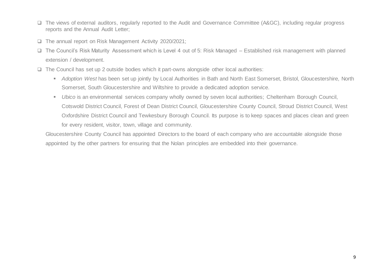- ❑ The views of external auditors, regularly reported to the Audit and Governance Committee (A&GC), including regular progress reports and the Annual Audit Letter;
- ❑ The annual report on Risk Management Activity 2020/2021;
- ❑ The Council's Risk Maturity Assessment which is Level 4 out of 5: Risk Managed Established risk management with planned extension / development.
- ❑ The Council has set up 2 outside bodies which it part-owns alongside other local authorities:
	- *Adoption West* has been set up jointly by Local Authorities in Bath and North East Somerset, Bristol, Gloucestershire, North Somerset, South Gloucestershire and Wiltshire to provide a dedicated adoption service.
	- *Ubico* is an environmental services company wholly owned by seven local authorities; Cheltenham Borough Council, Cotswold District Council, Forest of Dean District Council, Gloucestershire County Council, Stroud District Council, West Oxfordshire District Council and Tewkesbury Borough Council. Its purpose is to keep spaces and places clean and green for every resident, visitor, town, village and community.

Gloucestershire County Council has appointed Directors to the board of each company who are accountable alongside those appointed by the other partners for ensuring that the Nolan principles are embedded into their governance.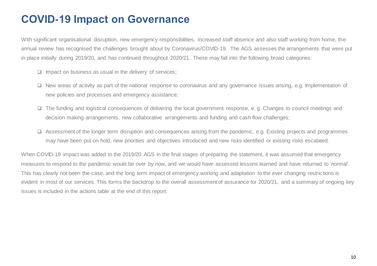# <span id="page-9-0"></span>**COVID-19 Impact on Governance**

With significant organisational disruption, new emergency responsibilities, increased staff absence and also staff working from home, the annual review has recognised the challenges brought about by Coronavirus/COVID-19. The AGS assesses the arrangements that were put in place initially during 2019/20, and has continued throughout 2020/21. These may fall into the following broad categories:

- ❑ Impact on business as usual in the delivery of services;
- ❑ New areas of activity as part of the national response to coronavirus and any governance issues arising, e.g. Implementation of new policies and processes and emergency assistance;
- ❑ The funding and logistical consequences of delivering the local government response, e. g. Changes to council meetings and decision making arrangements, new collaborative arrangements and funding and cash flow challenges;
- ❑ Assessment of the longer term disruption and consequences arising from the pandemic, e.g. Existing projects and programmes may have been put on hold, new priorities and objectives introduced and new risks identified or existing risks escalated.

When COVID-19 impact was added to the 2019/20 AGS in the final stages of preparing the statement, it was assumed that emergency measures to respond to the pandemic would be over by now, and we would have assessed lessons learned and have returned to 'normal'. This has clearly not been the case, and the long term impact of emergency working and adaptation to the ever changing restrictions is evident in most of our services. This forms the backdrop to the overall assessment of assurance for 2020/21, and a summary of ongoing key issues is included in the actions table at the end of this report.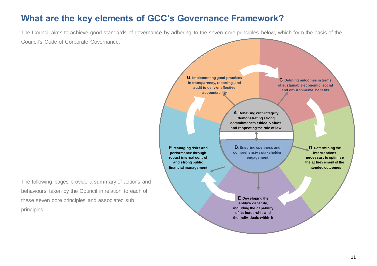# <span id="page-10-0"></span>**What are the key elements of GCC's Governance Framework?**

The Council aims to achieve good standards of governance by adhering to the seven core principles below, which form the basis of the Council's Code of Corporate Governance:

The following pages provide a summary of actions and behaviours taken by the Council in relation to each of these seven core principles and associated sub principles.

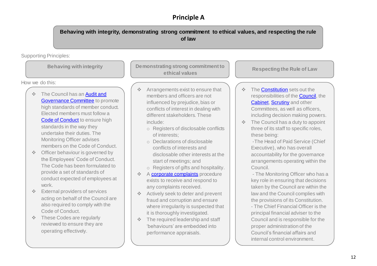### **Principle A**

**Behaving with integrity, demonstrating strong commitment to ethical values, and respecting the rule of law**

Supporting Principles:

How we do this:

- The Council has an Audit and **[Governance Committee](http://glostext.gloucestershire.gov.uk/ieListMeetings.aspx?CId=655&Year=0) to promote** high standards of member conduct. Elected members must follow a [Code of Conduct](https://www.gloucestershire.gov.uk/constitution/) to ensure high standards in the way they undertake their duties. The Monitoring Officer advises members on the Code of Conduct.
- ❖ Officer behaviour is governed by the Employees' Code of Conduct. The Code has been formulated to provide a set of standards of conduct expected of employees at work.
- ❖ External providers of services acting on behalf of the Council are also required to comply with the Code of Conduct.
- ❖ These Codes are regularly reviewed to ensure they are operating effectively.

**Behaving with integrity <b>Demonstrating strong commitment to ethical values**

- ❖ Arrangements exist to ensure that members and officers are not influenced by prejudice, bias or conflicts of interest in dealing with different stakeholders. These include:
	- o Registers of disclosable conflicts of interests;
	- o Declarations of disclosable conflicts of interests and disclosable other interests at the start of meetings; and
	- o Registers of gifts and hospitality.
- ❖ A [corporate complaints](http://www.gloucestershire.gov.uk/council-and-democracy/complaints-and-feedback/comment-complaint-or-compliment/) procedure exists to receive and respond to any complaints received.
- ❖ Actively seek to deter and prevent fraud and corruption and ensure where irregularity is suspected that it is thoroughly investigated.
- ❖ The required leadership and staff 'behaviours' are embedded into performance appraisals.

**Respecting the Rule of Law**

- ❖ Th[e Constitution](https://www.gloucestershire.gov.uk/constitution/) sets out the responsibilities of the **Council**, the [Cabinet](http://glostext.gloucestershire.gov.uk/mgCommitteeDetails.aspx?ID=117)[, Scrutiny](http://glostext.gloucestershire.gov.uk/mgListCommittees.aspx?bcr=1) and other Committees, as well as officers, including decision making powers.
- ❖ The Council has a duty to appoint three of its staff to specific roles, these being:

-The Head of Paid Service (Chief Executive), who has overall accountability for the governance arrangements operating within the Council.

- The Monitoring Officer who has a key role in ensuring that decisions taken by the Council are within the law and the Council complies with the provisions of its Constitution.

- The Chief Financial Officer is the principal financial adviser to the Council and is responsible for the proper administration of the Council's financial affairs and internal control environment.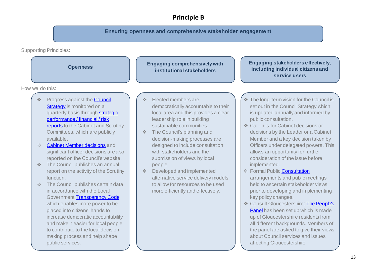### **Principle B**

**Ensuring openness and comprehensive stakeholder engagement**

Supporting Principles:

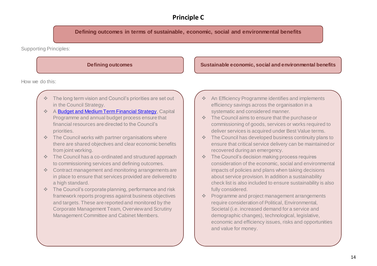### **Principle C**

**Defining outcomes in terms of sustainable, economic, social and environmental benefits**

Supporting Principles:

How we do this:

- The long term vision and Council's priorities are set out in the Council Strategy.
- ❖ A [Budget and Medium Term Financial Strategy](http://www.gloucestershire.gov.uk/council-and-democracy/performance-and-spending/budget-and-medium-term-financial-strategy/), Capital Programme and annual budget process ensure that financial resources are directed to the Council's priorities.
- ❖ The Council works with partner organisations where there are shared objectives and clear economic benefits from joint working.
- ❖ The Council has a co-ordinated and structured approach to commissioning services and defining outcomes.
- ❖ Contract management and monitoring arrangements are in place to ensure that services provided are delivered to a high standard.
- ❖ The Council's corporate planning, performance and risk framework reports progress against business objectives and targets. These are reported and monitored by the Corporate Management Team, Overview and Scrutiny Management Committee and Cabinet Members.

### **Defining outcomes Sustainable economic, social and environmental benefits**

- ❖ An Efficiency Programme identifies and implements efficiency savings across the organisation in a systematic and considered manner.
- ❖ The Council aims to ensure that the purchase or commissioning of goods, services or works required to deliver services is acquired under Best Value terms.
- ❖ The Council has developed business continuity plans to ensure that critical service delivery can be maintained or recovered during an emergency.
- ❖ The Council's decision making process requires consideration of the economic, social and environmental impacts of policies and plans when taking decisions about service provision. In addition a sustainability check list is also included to ensure sustainability is also fully considered.
- ❖ Programme and project management arrangements require consideration of Political, Environmental, Societal (i.e. increased demand for a service and demographic changes), technological, legislative, economic and efficiency issues, risks and opportunities and value for money.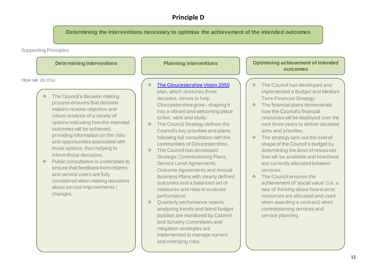### **Principle D**

**Determining the interventions necessary to optimise the achievement of the intended outcomes**

Supporting Principles:

| <b>Determining interventions</b>                                                                                                                                                                                                                                                                                                                                                                                                                                                                                                                                                            | <b>Planning interventions</b>                                                                                                                                                                                                                                                                                                                                                                                                                                                                                                                                                                                                                                                                                                                                   | <b>Optimising achievement of intended</b><br>outcomes                                                                                                                                                                                                                                                                                                                                                                                                                                                                                                                                                                                                                                                                                                                                                     |
|---------------------------------------------------------------------------------------------------------------------------------------------------------------------------------------------------------------------------------------------------------------------------------------------------------------------------------------------------------------------------------------------------------------------------------------------------------------------------------------------------------------------------------------------------------------------------------------------|-----------------------------------------------------------------------------------------------------------------------------------------------------------------------------------------------------------------------------------------------------------------------------------------------------------------------------------------------------------------------------------------------------------------------------------------------------------------------------------------------------------------------------------------------------------------------------------------------------------------------------------------------------------------------------------------------------------------------------------------------------------------|-----------------------------------------------------------------------------------------------------------------------------------------------------------------------------------------------------------------------------------------------------------------------------------------------------------------------------------------------------------------------------------------------------------------------------------------------------------------------------------------------------------------------------------------------------------------------------------------------------------------------------------------------------------------------------------------------------------------------------------------------------------------------------------------------------------|
| How we do this:<br>The Council's decision making<br>process ensures that decision<br>makers receive objective and<br>robust analysis of a variety of<br>options indicating how the intended<br>outcomes will be achieved,<br>providing information on the risks<br>and opportunities associated with<br>those options, thus helping to<br>inform those decisions.<br>Public consultation is undertaken to<br>$\Phi_{\rm eff}^{\rm 2D}$<br>ensure that feedback from citizens<br>and service users are fully<br>considered when making decisions<br>about service improvements /<br>changes. | The Gloucestershire Vision 2050<br>plan, which stretches three<br>decades, strives to help<br>Gloucestershire grow - shaping it<br>into a vibrant and welcoming place<br>to live, work and study.<br>The Council Strategy defines the<br>$\Phi_{\rm eff}^{\rm R} \Phi$<br>Council's key priorities and plans,<br>following full consultation with the<br>communities of Gloucestershire.<br>The Council has developed<br>$\Phi_{\rm eff}^{\rm 2D}$<br><b>Strategic Commissioning Plans,</b><br>Service Level Agreements,<br><b>Outcome Agreements and Annual</b><br><b>Business Plans with clearly defined</b><br>outcomes and a balanced set of<br>measures and risks to evaluate<br>performance.<br>Quarterly performance reports<br>$\Phi_{\rm eff}^{\rm R}$ | The Council has developed and<br>$\frac{\partial}{\partial \phi} \phi$<br>implemented a Budget and Medium<br><b>Term Financial Strategy.</b><br>The financial plans demonstrate<br>$\sigma_{\rm eff}^{\rm th}$<br>how the Council's financial<br>resources will be deployed over the<br>next three years to deliver declared<br>aims and priorities.<br>The strategy sets out the overall<br>$\sigma_{\rm d}^{\rm R} \sigma$<br>shape of the Council's budget by<br>determining the level of resources<br>that will be available and how these<br>are currently allocated between<br>services.<br>The Council ensures the<br>$\Phi_{\rm eff}^{\rm 2D}$<br>achievement of 'social value' (i.e. a<br>way of thinking about how scarce<br>resources are allocated and used<br>when awarding a contract) when |
|                                                                                                                                                                                                                                                                                                                                                                                                                                                                                                                                                                                             | analysing trends and latest budget<br>position are monitored by Cabinet<br>and Scrutiny Committees and                                                                                                                                                                                                                                                                                                                                                                                                                                                                                                                                                                                                                                                          | commissioning services and<br>service planning.                                                                                                                                                                                                                                                                                                                                                                                                                                                                                                                                                                                                                                                                                                                                                           |

mitigation strategies are

and emerging risks.

implemented to manage current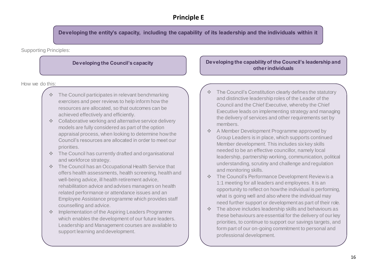### **Principle E**

**Developing the entity's capacity, including the capability of its leadership and the individuals within it**

Supporting Principles:

How we do this:

- The Council participates in relevant benchmarking exercises and peer reviews to help inform how the resources are allocated, so that outcomes can be achieved effectively and efficiently.
- ❖ Collaborative working and alternative service delivery models are fully considered as part of the option appraisal process, when looking to determine how the Council's resources are allocated in order to meet our priorities.
- ❖ The Council has currently drafted and organisational and workforce strategy.
- ❖ The Council has an Occupational Health Service that offers health assessments, health screening, health and well-being advice, ill health retirement advice, rehabilitation advice and advises managers on health related performance or attendance issues and an Employee Assistance programme which provides staff counselling and advice.
- ❖ Implementation of the Aspiring Leaders Programme which enables the development of our future leaders. Leadership and Management courses are available to support learning and development.

### **Developing the Council's capacity Developing the capability of the Council's leadership and other individuals**

- The Council's Constitution clearly defines the statutory and distinctive leadership roles of the Leader of the Council and the Chief Executive, whereby the Chief Executive leads on implementing strategy and managing the delivery of services and other requirements set by members.
- ❖ A Member Development Programme approved by Group Leaders is in place, which supports continued Member development. This includes six key skills needed to be an effective councillor, namely local leadership, partnership working, communication, political understanding, scrutiny and challenge and regulation and monitoring skills.
- ❖ The Council's Performance Development Review is a 1:1 meeting for all leaders and employees. It is an opportunity to reflect on how the individual is performing, what is going well and also where the individual may need further support or development as part of their role.
- ❖ The above includes leadership skills and behaviours as these behaviours are essential for the delivery of our key priorities, to continue to support our savings targets, and form part of our on-going commitment to personal and professional development.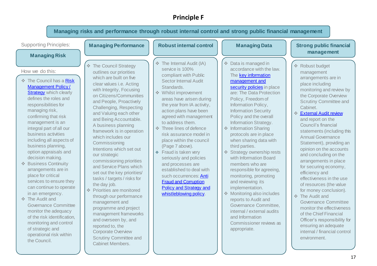### **Principle F**

|                                                                                                                                                                                                                                                                                                                                                                                                                                                                        | Managing risks and performance through robust internal control and strong public financial management                                                                                                                                                                                                                                                                                                                                                                                                   |                                                                                                                                                                                                                                                                                                                                                                                                                                                                                                                          |                                                                                                                                                                                                                                                                                                                                                                                                                                                                                                                       |                                                                                                                                                                                                                                                                                                                                                                                                                                                                             |
|------------------------------------------------------------------------------------------------------------------------------------------------------------------------------------------------------------------------------------------------------------------------------------------------------------------------------------------------------------------------------------------------------------------------------------------------------------------------|---------------------------------------------------------------------------------------------------------------------------------------------------------------------------------------------------------------------------------------------------------------------------------------------------------------------------------------------------------------------------------------------------------------------------------------------------------------------------------------------------------|--------------------------------------------------------------------------------------------------------------------------------------------------------------------------------------------------------------------------------------------------------------------------------------------------------------------------------------------------------------------------------------------------------------------------------------------------------------------------------------------------------------------------|-----------------------------------------------------------------------------------------------------------------------------------------------------------------------------------------------------------------------------------------------------------------------------------------------------------------------------------------------------------------------------------------------------------------------------------------------------------------------------------------------------------------------|-----------------------------------------------------------------------------------------------------------------------------------------------------------------------------------------------------------------------------------------------------------------------------------------------------------------------------------------------------------------------------------------------------------------------------------------------------------------------------|
| <b>Supporting Principles:</b>                                                                                                                                                                                                                                                                                                                                                                                                                                          | <b>Managing Performance</b>                                                                                                                                                                                                                                                                                                                                                                                                                                                                             | <b>Robust internal control</b>                                                                                                                                                                                                                                                                                                                                                                                                                                                                                           | <b>Managing Data</b>                                                                                                                                                                                                                                                                                                                                                                                                                                                                                                  | <b>Strong public financial</b>                                                                                                                                                                                                                                                                                                                                                                                                                                              |
| <b>Managing Risk</b><br>How we do this:<br>The Council has a Risk<br><b>Management Policy/</b><br><b>Strategy</b> which clearly<br>defines the roles and<br>responsibilities for<br>managing risk,<br>confirming that risk<br>management is an<br>integral part of all our<br>business activities<br>including all aspects of<br>business planning,<br>option appraisals and<br>decision making.<br>❖ Business Continuity<br>arrangements are in<br>place for critical | * The Council Strategy<br>outlines our priorities<br>which are built on five<br>clear values i.e. Acting<br>with Integrity, Focusing<br>on Citizens/Communities<br>and People, Proactively<br>Challenging, Respecting<br>and Valuing each other<br>and Being Accountable.<br>A business planning<br>framework is in operation<br>which includes our<br>Commissioning<br>Intentions which set out<br>our strategic<br>commissioning priorities<br>and Service Plans which<br>set out the key priorities/ | ❖ The Internal Audit (IA)<br>service is 100%<br>compliant with Public<br><b>Sector Internal Audit</b><br>Standards.<br>❖ Whilst improvement<br>areas have arisen during<br>the year from IA activity,<br>action plans have been<br>agreed with management<br>to address them.<br>❖ Three lines of defence<br>risk assurance model in<br>place within the council<br>(Page 7 above).<br>❖ Fraud is taken very<br>seriously and policies<br>and processes are<br>established to deal with<br>such occurrences: <b>Anti</b> | Data is managed in<br>accordance with the law.<br>The <b>key information</b><br>management and<br>security policies in place<br>are: The Data Protection<br>Policy, Freedom of<br>Information Policy,<br><b>Information Security</b><br>Policy and the overall<br>Information Strategy.<br>Information Sharing<br>protocols are in place<br>when sharing data with<br>third parties.<br>❖ Strategy ownership rests<br>with Information Board<br>members who are<br>responsible for agreeing,<br>monitoring, promoting | management<br>❖ Robust budget<br>management<br>arrangements are in<br>place including<br>monitoring and review by<br>the Corporate Overview<br><b>Scrutiny Committee and</b><br>Cabinet.<br>External Audit review<br>and report on the<br>Council's financial<br>statements (including this<br><b>Annual Governance</b><br>Statement), providing an<br>opinion on the accounts<br>and concluding on the<br>arrangements in place<br>for securing economy,<br>efficiency and |
| services to ensure they<br>can continue to operate<br>in an emergency.<br>❖ The Audit and<br><b>Governance Committee</b><br>monitor the adequacy<br>of the risk identification,<br>monitoring and control<br>of strategic and<br>operational risk within<br>the Council.                                                                                                                                                                                               | tasks / targets / risks for<br>the day job.<br>❖ Priorities are monitored<br>through our performance<br>management and<br>programme and project<br>management frameworks<br>and overseen by, and<br>reported to, the<br><b>Corporate Overview</b><br><b>Scrutiny Committee and</b><br>Cabinet Members.                                                                                                                                                                                                  | <b>Fraud and Corruption</b><br><b>Policy and Strategy and</b><br>whistleblowing policy.                                                                                                                                                                                                                                                                                                                                                                                                                                  | and reviewing its<br>implementation.<br>Monitoring also includes<br>reports to Audit and<br>Governance Committee,<br>internal / external audits<br>and Information<br>Commissioner reviews as<br>appropriate.                                                                                                                                                                                                                                                                                                         | effectiveness in the use<br>of resources (the value<br>for money conclusion).<br>❖ The Audit and<br><b>Governance Committee</b><br>monitor the effectiveness<br>of the Chief Financial<br>Officer's responsibility for<br>ensuring an adequate<br>internal / financial control<br>environment.                                                                                                                                                                              |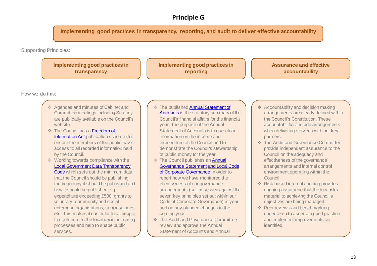### **Principle G**

**Implementing good practices in transparency, reporting, and audit to deliver effective accountability**

Supporting Principles:

**Implementing good practices in transparency**

**Implementing good practices in reporting**

**Assurance and effective accountability**

How we do this:

- ❖ Agendas and minutes of Cabinet and Committee meetings including Scrutiny are publically available on the Council's website.
- ❖ The Council has [a Freedom of](http://www.gloucestershire.gov.uk/council-and-democracy/freedom-of-information/)  [Information Act](http://www.gloucestershire.gov.uk/council-and-democracy/freedom-of-information/) publication scheme (to ensure the members of the public have access to all recorded information held by the Council.
- ❖ Working towards compliance with the [Local Government Data Transparency](https://www.gov.uk/government/publications/local-government-transparency-code-2015)  [Code](https://www.gov.uk/government/publications/local-government-transparency-code-2015) which sets out the minimum data that the Council should be publishing, the frequency it should be published and how it should be published e.g. expenditure exceeding £500, grants to voluntary, community and social enterprise organisations, senior salaries etc. This makes it easier for local people to contribute to the local decision making processes and help to shape public services.
- ❖ The publishe[d Annual Statement of](https://www.gloucestershire.gov.uk/council-and-democracy/performance-and-spending/statement-of-accounts/)  [Accounts](https://www.gloucestershire.gov.uk/council-and-democracy/performance-and-spending/statement-of-accounts/) is the statutory summary of the Council's financial affairs for the financial year. The purpose of the Annual Statement of Accounts is to give clear information on the income and expenditure of the Council and to demonstrate the Council's stewardship of public money for the year.
- ❖ The Council publishes a[n Annual](https://www.gloucestershire.gov.uk/council-and-democracy/performance-and-spending/statement-of-accounts/)  [Governance Statement](https://www.gloucestershire.gov.uk/council-and-democracy/performance-and-spending/statement-of-accounts/) [and Local Code](https://www.gloucestershire.gov.uk/council-and-democracy/performance-and-spending/statement-of-accounts/)  [of Corporate Governance](https://www.gloucestershire.gov.uk/council-and-democracy/performance-and-spending/statement-of-accounts/) in order to report how we have monitored the effectiveness of our governance arrangements (self assessed against the seven key principles set out within our Code of Corporate Governance) in year and on any planned changes in the coming year.
- ❖ The Audit and Governance Committee review and approve the Annual Statement of Accounts and Annual

Government. Statement and the statement of the statement of the statement of the statement.

- ❖ Accountability and decision making arrangements are clearly defined within the Council's Constitution. These accountabilities include arrangements when delivering services with our key partners.
- ❖ The Audit and Governance Committee provide independent assurance to the Council on the adequacy and effectiveness of the governance arrangements and internal control environment operating within the Council.
- ❖ Risk based internal auditing provides ongoing assurance that the key risks material to achieving the Council's objectives are being managed.
- ❖ Peer reviews and benchmarking undertaken to ascertain good practice and implement improvements as identified.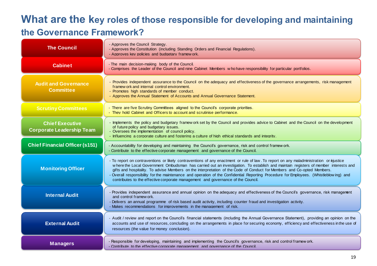# **What are the key roles of those responsible for developing and maintaining the Governance Framework?**

| <b>The Council</b>                                         | - Approves the Council Strategy.<br>- Approves the Constitution (including Standing Orders and Financial Regulations).<br>- Approves key policies and budgetary framew ork.                                                                                                                                                                                                                                                                                                                                                                                                                                                            |
|------------------------------------------------------------|----------------------------------------------------------------------------------------------------------------------------------------------------------------------------------------------------------------------------------------------------------------------------------------------------------------------------------------------------------------------------------------------------------------------------------------------------------------------------------------------------------------------------------------------------------------------------------------------------------------------------------------|
| <b>Cabinet</b>                                             | - The main decision-making body of the Council.<br>- Comprises the Leader of the Council and nine Cabinet Members who have responsibility for particular portfolios.                                                                                                                                                                                                                                                                                                                                                                                                                                                                   |
| <b>Audit and Governance</b><br><b>Committee</b>            | - Provides independent assurance to the Council on the adequacy and effectiveness of the governance arrangements, risk management<br>framew ork and internal control environment.<br>- Promotes high standards of member conduct.<br>- Approves the Annual Statement of Accounts and Annual Governance Statement.                                                                                                                                                                                                                                                                                                                      |
| <b>Scrutiny Committees</b>                                 | - There are five Scrutiny Committees aligned to the Council's corporate priorities.<br>- They hold Cabinet and Officers to account and scrutinise performance.                                                                                                                                                                                                                                                                                                                                                                                                                                                                         |
| <b>Chief Executive</b><br><b>Corporate Leadership Team</b> | - Implements the policy and budgetary framew ork set by the Council and provides advice to Cabinet and the Council on the development<br>of future policy and budgetary issues.<br>- Oversees the implementation of council policy.<br>- Influencing a corporate culture and fostering a culture of high ethical standards and integrity.                                                                                                                                                                                                                                                                                              |
| <b>Chief Financial Officer (s151)</b>                      | - Accountability for developing and maintaining the Council's governance, risk and control framew ork.<br>- Contribute to the effective corporate management and governance of the Council.                                                                                                                                                                                                                                                                                                                                                                                                                                            |
| <b>Monitoring Officer</b>                                  | - To report on contraventions or likely contraventions of any enactment or rule of law. To report on any maladministration or njustice<br>where the Local Government Ombudsman has carried out an investigation. To establish and maintain registers of member interests and<br>gifts and hospitality. To advise Members on the interpretation of the Code of Conduct for Members and Co-opted Members.<br>- Overall responsibility for the maintenance and operation of the Confidential Reporting Procedure for Employees. (Whistleblow ing) and<br>contributes to the effective corporate management and governance of the Council. |
| <b>Internal Audit</b>                                      | - Provides independent assurance and annual opinion on the adequacy and effectiveness of the Council's governance, risk managenent<br>and control framew ork.<br>- Delivers an annual programme of risk based audit activity, including counter fraud and investigation activity.<br>- Makes recommendations for improvements in the management of risk.                                                                                                                                                                                                                                                                               |
| <b>External Audit</b>                                      | - Audit / review and report on the Council's financial statements (including the Annual Governance Statement), providing an opinion on the<br>accounts and use of resources, concluding on the arrangements in place for securing economy, efficiency and effectiveness in the use of<br>resources (the value for money conclusion).                                                                                                                                                                                                                                                                                                   |
| <b>Managers</b>                                            | - Responsible for developing, maintaining and implementing the Council's governance, risk and control framework.<br>- Contribute to the effective corporate management and governance of the Council.                                                                                                                                                                                                                                                                                                                                                                                                                                  |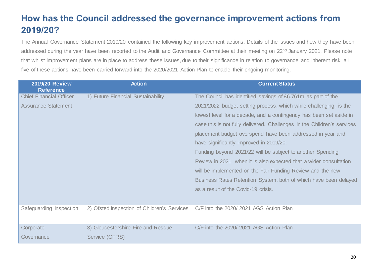# <span id="page-19-0"></span>**How has the Council addressed the governance improvement actions from 2019/20?**

The Annual Governance Statement 2019/20 contained the following key improvement actions. Details of the issues and how they have been addressed during the year have been reported to the Audit and Governance Committee at their meeting on 22<sup>nd</sup> January 2021. Please note that whilst improvement plans are in place to address these issues, due to their significance in relation to governance and inherent risk, all five of these actions have been carried forward into the 2020/2021 Action Plan to enable their ongoing monitoring.

| <b>2019/20 Review</b><br><b>Reference</b> | <b>Action</b>                               | <b>Current Status</b>                                                   |
|-------------------------------------------|---------------------------------------------|-------------------------------------------------------------------------|
| <b>Chief Financial Officer</b>            | 1) Future Financial Sustainability          | The Council has identified savings of £6.761m as part of the            |
| <b>Assurance Statement</b>                |                                             | 2021/2022 budget setting process, which while challenging, is the       |
|                                           |                                             | lowest level for a decade, and a contingency has been set aside in      |
|                                           |                                             | case this is not fully delivered. Challenges in the Children's services |
|                                           |                                             | placement budget overspend have been addressed in year and              |
|                                           |                                             | have significantly improved in 2019/20.                                 |
|                                           |                                             | Funding beyond 2021/22 will be subject to another Spending              |
|                                           |                                             | Review in 2021, when it is also expected that a wider consultation      |
|                                           |                                             | will be implemented on the Fair Funding Review and the new              |
|                                           |                                             | Business Rates Retention System, both of which have been delayed        |
|                                           |                                             | as a result of the Covid-19 crisis.                                     |
|                                           |                                             |                                                                         |
| Safeguarding Inspection                   | 2) Ofsted Inspection of Children's Services | C/F into the 2020/ 2021 AGS Action Plan                                 |
|                                           |                                             |                                                                         |
| Corporate                                 | 3) Gloucestershire Fire and Rescue          | C/F into the 2020/2021 AGS Action Plan                                  |
| Governance                                | Service (GFRS)                              |                                                                         |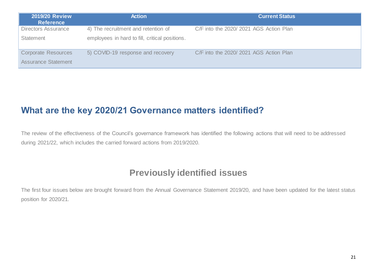| <b>2019/20 Review</b><br><b>Reference</b> | <b>Action</b>                                  | <b>Current Status</b>                  |
|-------------------------------------------|------------------------------------------------|----------------------------------------|
| Directors Assurance                       | 4) The recruitment and retention of            | C/F into the 2020/2021 AGS Action Plan |
| <b>Statement</b>                          | employees in hard to fill, critical positions. |                                        |
| <b>Corporate Resources</b>                | 5) COVID-19 response and recovery              | C/F into the 2020/2021 AGS Action Plan |
| <b>Assurance Statement</b>                |                                                |                                        |

# <span id="page-20-0"></span>**What are the key 2020/21 Governance matters identified?**

The review of the effectiveness of the Council's governance framework has identified the following actions that will need to be addressed during 2021/22, which includes the carried forward actions from 2019/2020.

# **Previously identified issues**

The first four issues below are brought forward from the Annual Governance Statement 2019/20, and have been updated for the latest status position for 2020/21.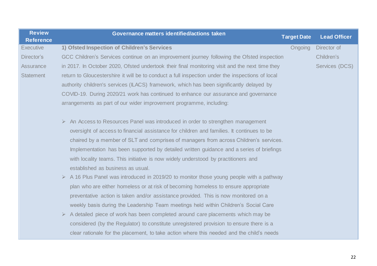| <b>Review</b><br><b>Reference</b> | Governance matters identified/actions taken                                                                                                                                                                                                                             | <b>Target Date</b> | <b>Lead Officer</b> |
|-----------------------------------|-------------------------------------------------------------------------------------------------------------------------------------------------------------------------------------------------------------------------------------------------------------------------|--------------------|---------------------|
| <b>Executive</b>                  | 1) Ofsted Inspection of Children's Services                                                                                                                                                                                                                             | Ongoing            | Director of         |
| Director's                        | GCC Children's Services continue on an improvement journey following the Ofsted inspection                                                                                                                                                                              |                    | Children's          |
| Assurance                         | in 2017. In October 2020, Ofsted undertook their final monitoring visit and the next time they                                                                                                                                                                          |                    | Services (DCS)      |
| <b>Statement</b>                  | return to Gloucestershire it will be to conduct a full inspection under the inspections of local                                                                                                                                                                        |                    |                     |
|                                   | authority children's services (ILACS) framework, which has been significantly delayed by                                                                                                                                                                                |                    |                     |
|                                   | COVID-19. During 2020/21 work has continued to enhance our assurance and governance                                                                                                                                                                                     |                    |                     |
|                                   | arrangements as part of our wider improvement programme, including:                                                                                                                                                                                                     |                    |                     |
|                                   | $\triangleright$ An Access to Resources Panel was introduced in order to strengthen management<br>oversight of access to financial assistance for children and families. It continues to be                                                                             |                    |                     |
|                                   | chaired by a member of SLT and comprises of managers from across Children's services.<br>Implementation has been supported by detailed written guidance and a series of briefings<br>with locality teams. This initiative is now widely understood by practitioners and |                    |                     |
|                                   | established as business as usual.                                                                                                                                                                                                                                       |                    |                     |
|                                   | $\triangleright$ A 16 Plus Panel was introduced in 2019/20 to monitor those young people with a pathway                                                                                                                                                                 |                    |                     |
|                                   | plan who are either homeless or at risk of becoming homeless to ensure appropriate                                                                                                                                                                                      |                    |                     |
|                                   | preventative action is taken and/or assistance provided. This is now monitored on a                                                                                                                                                                                     |                    |                     |
|                                   | weekly basis during the Leadership Team meetings held within Children's Social Care                                                                                                                                                                                     |                    |                     |
|                                   | A detailed piece of work has been completed around care placements which may be<br>$\blacktriangleright$                                                                                                                                                                |                    |                     |
|                                   | considered (by the Regulator) to constitute unregistered provision to ensure there is a                                                                                                                                                                                 |                    |                     |
|                                   | clear rationale for the placement, to take action where this needed and the child's needs                                                                                                                                                                               |                    |                     |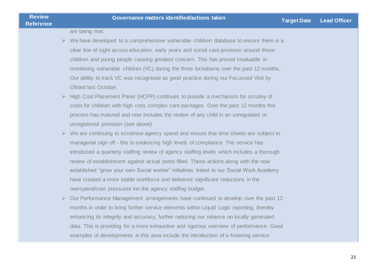are being met.

- $\triangleright$  We have developed to a comprehensive vulnerable children database to ensure there is a clear line of sight across education, early years and social care provision around those children and young people causing greatest concern. This has proved invaluable in monitoring vulnerable children (VC) during the three lockdowns over the past 12 months. Our ability to track VC was recognised as good practice during our Focussed Visit by Ofsted last October.
- ➢ High Cost Placement Panel (HCPP) continues to provide a mechanism for scrutiny of costs for children with high cost, complex care packages. Over the past 12 months this process has matured and now includes the review of any child in an unregulated or unregistered provision (see above)
- ➢ We are continuing to scrutinise agency spend and ensure that time sheets are subject to managerial sign off - this is evidencing high levels of compliance. The service has introduced a quarterly staffing review of agency staffing levels which includes a thorough review of establishment against actual posts filled. These actions along with the now established "grow your own Social worker" initiatives linked to our Social Work Academy have created a more stable workforce and delivered significant reductions in the overspend/cost pressures inn the agency staffing budget.
- ➢ Our Performance Management arrangements have continued to develop over the past 12 months in order to bring further service elements within Liquid Logic reporting, thereby enhancing its integrity and accuracy, further reducing our reliance on locally generated data. This is providing for a more exhaustive and rigorous overview of performance. Good examples of developments in this area include the introduction of a fostering service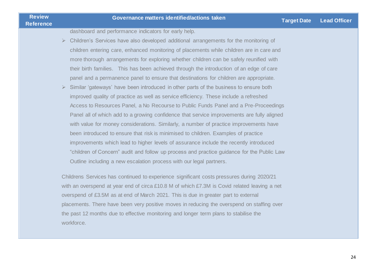dashboard and performance indicators for early help.

- ➢ Children's Services have also developed additional arrangements for the monitoring of children entering care, enhanced monitoring of placements while children are in care and more thorough arrangements for exploring whether children can be safely reunified with their birth families. This has been achieved through the introduction of an edge of care panel and a permanence panel to ensure that destinations for children are appropriate.
- $\triangleright$  Similar 'gateways' have been introduced in other parts of the business to ensure both improved quality of practice as well as service efficiency. These include a refreshed Access to Resources Panel, a No Recourse to Public Funds Panel and a Pre-Proceedings Panel all of which add to a growing confidence that service improvements are fully aligned with value for money considerations. Similarly, a number of practice improvements have been introduced to ensure that risk is minimised to children. Examples of practice improvements which lead to higher levels of assurance include the recently introduced "children of Concern" audit and follow up process and practice guidance for the Public Law Outline including a new escalation process with our legal partners.

Childrens Services has continued to experience significant costs pressures during 2020/21 with an overspend at year end of circa £10.8 M of which £7.3M is Covid related leaving a net overspend of £3.5M as at end of March 2021. This is due in greater part to external placements. There have been very positive moves in reducing the overspend on staffing over the past 12 months due to effective monitoring and longer term plans to stabilise the workforce.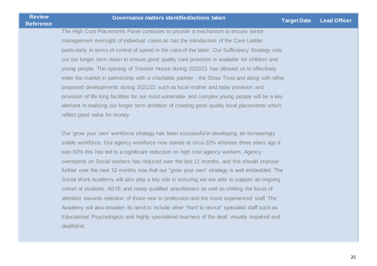The High Cost Placements Panel continues to provide a mechanism to ensure senior management oversight of individual cases as has the introduction of the Care Ladder particularly in terms of control of spend in the case of the latter. Our Sufficiency Strategy sets out our longer term vision to ensure good quality care provision is available for children and young people. The opening of Trevone House during 2020/21 has allowed us to effectively enter the market in partnership with a charitable partner - the Shaw Trust and along with other proposed developments during 2021/22 such as local mother and baby provision and provision of life long facilities for our most vulnerable and complex young people will be a key element in realising our longer term ambition of creating good quality local placements which reflect good value for money

Our 'grow your own' workforce strategy has been successful in developing an increasingly stable workforce. Our agency workforce now stands at circa 22% whereas three years ago it was 50% this has led to a significant reduction on high cost agency workers. Agency overspend on Social workers has reduced over the last 12 months, and this should improve further over the next 12 months now that our "grow your own" strategy is well embedded. The Social Work Academy will also play a key role in ensuring we are able to support an ongoing cohort of students, ASYE and newly qualified practitioners as well as shifting the focus of attention towards retention of those new to profession and the more experienced staff. The Academy will also broaden its remit to include other "hard to recruit" specialist staff such as Educational Psychologists and highly specialised teachers of the deaf, visually impaired and deaf/blind.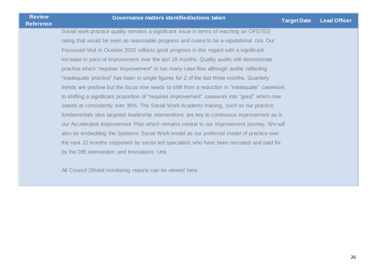Social work practice quality remains a significant issue in terms of reaching an OFSTED rating that would be seen as reasonable progress and cease to be a reputational risk. Our Focussed Visit in October 2020 reflects good progress in this regard with a significant increase in pace of improvement over the last 18 months. Quality audits still demonstrate practice which "requires Improvement" in too many case files although audits reflecting "inadequate practice" has been in single figures for 2 of the last three months. Quarterly trends are positive but the focus now needs to shift from a reduction in "inadequate" casework to shifting a significant proportion of "requires improvement" casework into "good" which now stands at consistently over 30%. The Social Work Academy training, such as our practice fundamentals plus targeted leadership interventions are key to continuous improvement as is our Accelerated Improvement Plan which remains central to our improvement journey. We will also be embedding the Systemic Social Work model as our preferred model of practice over the next 12 months supported by sector led specialists who have been recruited and paid for by the DfE intervention and Innovations Unit.

All Council Ofsted monitoring reports can be viewed [here.](https://reports.ofsted.gov.uk/provider/44/916)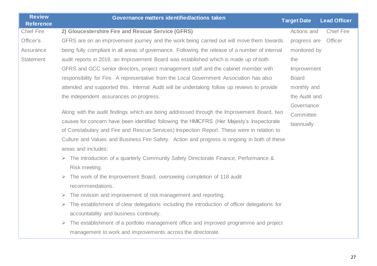| <b>Review</b><br><b>Reference</b> | Governance matters identified/actions taken                                                               | <b>Target Date</b> | <b>Lead Officer</b> |
|-----------------------------------|-----------------------------------------------------------------------------------------------------------|--------------------|---------------------|
| <b>Chief Fire</b>                 | 2) Gloucestershire Fire and Rescue Service (GFRS)                                                         | Actions and        | <b>Chief Fire</b>   |
| Officer's                         | GFRS are on an improvement journey and the work being carried out will move them towards                  | progress are       | Officer             |
|                                   |                                                                                                           |                    |                     |
| Assurance                         | being fully compliant in all areas of governance. Following the release of a number of internal           | monitored by       |                     |
| <b>Statement</b>                  | audit reports in 2019, an Improvement Board was established which is made up of both                      | the                |                     |
|                                   | GFRS and GCC senior directors, project management staff and the cabinet member with                       | Improvement        |                     |
|                                   | responsibility for Fire. A representative from the Local Government Association has also                  | <b>Board</b>       |                     |
|                                   | attended and supported this. Internal Audit will be undertaking follow up reviews to provide              | monthly and        |                     |
|                                   | the independent assurances on progress.                                                                   | the Audit and      |                     |
|                                   |                                                                                                           | Governance         |                     |
|                                   | Along with the audit findings which are being addressed through the Improvement Board, two                | Committee          |                     |
|                                   | causes for concern have been identified following the HMICFRS (Her Majesty's Inspectorate                 | biannually         |                     |
|                                   | of Constabulary and Fire and Rescue Services) Inspection Report. These were in relation to                |                    |                     |
|                                   | Culture and Values and Business Fire Safety. Action and progress is ongoing in both of these              |                    |                     |
|                                   | areas and includes:                                                                                       |                    |                     |
|                                   | > The introduction of a quarterly Community Safety Directorate Finance, Performance &                     |                    |                     |
|                                   | Risk meeting.                                                                                             |                    |                     |
|                                   | $\triangleright$ The work of the Improvement Board, overseeing completion of 118 audit                    |                    |                     |
|                                   | recommendations.                                                                                          |                    |                     |
|                                   | The revision and improvement of risk management and reporting.<br>$\triangleright$                        |                    |                     |
|                                   | The establishment of clear delegations including the introduction of officer delegations for<br>➤         |                    |                     |
|                                   | accountability and business continuity.                                                                   |                    |                     |
|                                   | The establishment of a portfolio management office and improved programme and project<br>$\triangleright$ |                    |                     |
|                                   | management to work and improvements across the directorate.                                               |                    |                     |
|                                   |                                                                                                           |                    |                     |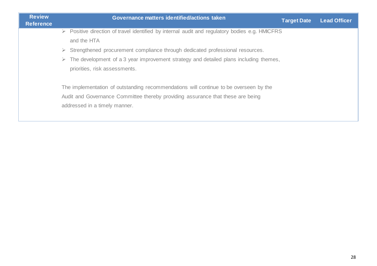| <b>Review</b><br><b>Reference</b> | Governance matters identified/actions taken<br><b>Target Date</b>                                             | <b>Lead Officer</b> |
|-----------------------------------|---------------------------------------------------------------------------------------------------------------|---------------------|
|                                   | $\triangleright$ Positive direction of travel identified by internal audit and regulatory bodies e.g. HMICFRS |                     |
|                                   | and the HTA                                                                                                   |                     |
|                                   | $\triangleright$ Strengthened procurement compliance through dedicated professional resources.                |                     |
|                                   | The development of a 3 year improvement strategy and detailed plans including themes,<br>➤                    |                     |
|                                   | priorities, risk assessments.                                                                                 |                     |
|                                   | The implementation of outstanding recommendations will continue to be overseen by the                         |                     |
|                                   | Audit and Governance Committee thereby providing assurance that these are being                               |                     |
|                                   | addressed in a timely manner.                                                                                 |                     |
|                                   |                                                                                                               |                     |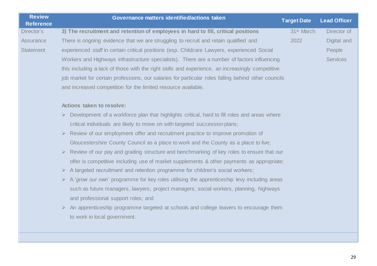| <b>Review</b><br><b>Reference</b> | Governance matters identified/actions taken                                                                 | <b>Target Date</b>     | <b>Lead Officer</b> |
|-----------------------------------|-------------------------------------------------------------------------------------------------------------|------------------------|---------------------|
| Director's                        | 3) The recruitment and retention of employees in hard to fill, critical positions                           | 31 <sup>st</sup> March | Director of         |
| <b>Assurance</b>                  | There is ongoing evidence that we are struggling to recruit and retain qualified and                        | 2022                   | Digital and         |
| <b>Statement</b>                  | experienced staff in certain critical positions (esp. Childcare Lawyers, experienced Social                 |                        | People              |
|                                   | Workers and Highways infrastructure specialists). There are a number of factors influencing                 |                        | <b>Services</b>     |
|                                   | this including a lack of those with the right skills and experience, an increasingly competitive            |                        |                     |
|                                   | job market for certain professions, our salaries for particular roles falling behind other councils         |                        |                     |
|                                   | and increased competition for the limited resource available.                                               |                        |                     |
|                                   | <b>Actions taken to resolve:</b>                                                                            |                        |                     |
|                                   | Development of a workforce plan that highlights critical, hard to fill roles and areas where                |                        |                     |
|                                   | critical individuals are likely to move on with targeted succession plans;                                  |                        |                     |
|                                   | Review of our employment offer and recruitment practice to improve promotion of<br>$\blacktriangleright$    |                        |                     |
|                                   | Gloucestershire County Council as a place to work and the County as a place to live;                        |                        |                     |
|                                   | Review of our pay and grading structure and benchmarking of key roles to ensure that our                    |                        |                     |
|                                   | offer is competitive including use of market supplements & other payments as appropriate;                   |                        |                     |
|                                   | > A targeted recruitment and retention programme for children's social workers;                             |                        |                     |
|                                   | $\triangleright$ A 'grow our own' programme for key roles utilising the apprenticeship levy including areas |                        |                     |
|                                   | such as future managers, lawyers, project managers, social workers, planning, highways                      |                        |                     |
|                                   | and professional support roles; and                                                                         |                        |                     |
|                                   | $\triangleright$ An apprenticeship programme targeted at schools and college leavers to encourage them      |                        |                     |
|                                   | to work in local government.                                                                                |                        |                     |
|                                   |                                                                                                             |                        |                     |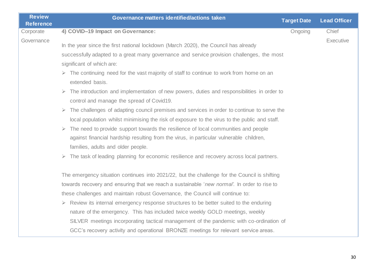| <b>Review</b><br><b>Reference</b> | Governance matters identified/actions taken                                                                                                              | <b>Target Date</b> | <b>Lead Officer</b> |
|-----------------------------------|----------------------------------------------------------------------------------------------------------------------------------------------------------|--------------------|---------------------|
| Corporate                         | 4) COVID-19 Impact on Governance:                                                                                                                        | Ongoing            | Chief               |
| Governance                        | In the year since the first national lockdown (March 2020), the Council has already                                                                      |                    | Executive           |
|                                   | successfully adapted to a great many governance and service provision challenges, the most                                                               |                    |                     |
|                                   | significant of which are:                                                                                                                                |                    |                     |
|                                   | $\triangleright$ The continuing need for the vast majority of staff to continue to work from home on an<br>extended basis.                               |                    |                     |
|                                   | $\triangleright$ The introduction and implementation of new powers, duties and responsibilities in order to<br>control and manage the spread of Covid19. |                    |                     |
|                                   | $\triangleright$ The challenges of adapting council premises and services in order to continue to serve the                                              |                    |                     |
|                                   | local population whilst minimising the risk of exposure to the virus to the public and staff.                                                            |                    |                     |
|                                   | $\triangleright$ The need to provide support towards the resilience of local communities and people                                                      |                    |                     |
|                                   | against financial hardship resulting from the virus, in particular vulnerable children,                                                                  |                    |                     |
|                                   | families, adults and older people.                                                                                                                       |                    |                     |
|                                   | $\triangleright$ The task of leading planning for economic resilience and recovery across local partners.                                                |                    |                     |
|                                   | The emergency situation continues into 2021/22, but the challenge for the Council is shifting                                                            |                    |                     |
|                                   | towards recovery and ensuring that we reach a sustainable 'new normal'. In order to rise to                                                              |                    |                     |
|                                   | these challenges and maintain robust Governance, the Council will continue to:                                                                           |                    |                     |
|                                   | $\triangleright$ Review its internal emergency response structures to be better suited to the enduring                                                   |                    |                     |
|                                   | nature of the emergency. This has included twice weekly GOLD meetings, weekly                                                                            |                    |                     |
|                                   | SILVER meetings incorporating tactical management of the pandemic with co-ordination of                                                                  |                    |                     |
|                                   | GCC's recovery activity and operational BRONZE meetings for relevant service areas.                                                                      |                    |                     |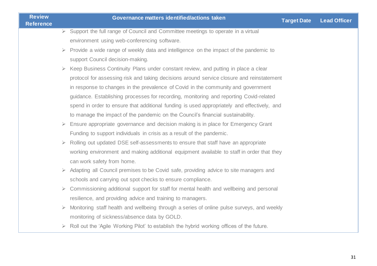| <b>Review</b><br><b>Reference</b> |                       | Governance matters identified/actions taken                                                            | <b>Target Date</b> | <b>Lead Officer</b> |
|-----------------------------------|-----------------------|--------------------------------------------------------------------------------------------------------|--------------------|---------------------|
|                                   |                       | $\triangleright$ Support the full range of Council and Committee meetings to operate in a virtual      |                    |                     |
|                                   |                       | environment using web-conferencing software.                                                           |                    |                     |
|                                   |                       | $\triangleright$ Provide a wide range of weekly data and intelligence on the impact of the pandemic to |                    |                     |
|                                   |                       | support Council decision-making.                                                                       |                    |                     |
|                                   |                       | $\triangleright$ Keep Business Continuity Plans under constant review, and putting in place a clear    |                    |                     |
|                                   |                       | protocol for assessing risk and taking decisions around service closure and reinstatement              |                    |                     |
|                                   |                       | in response to changes in the prevalence of Covid in the community and government                      |                    |                     |
|                                   |                       | guidance. Establishing processes for recording, monitoring and reporting Covid-related                 |                    |                     |
|                                   |                       | spend in order to ensure that additional funding is used appropriately and effectively, and            |                    |                     |
|                                   |                       | to manage the impact of the pandemic on the Council's financial sustainability.                        |                    |                     |
|                                   | $\blacktriangleright$ | Ensure appropriate governance and decision making is in place for Emergency Grant                      |                    |                     |
|                                   |                       | Funding to support individuals in crisis as a result of the pandemic.                                  |                    |                     |
|                                   |                       | $\triangleright$ Rolling out updated DSE self-assessments to ensure that staff have an appropriate     |                    |                     |
|                                   |                       | working environment and making additional equipment available to staff in order that they              |                    |                     |
|                                   |                       | can work safety from home.                                                                             |                    |                     |
|                                   |                       | $\triangleright$ Adapting all Council premises to be Covid safe, providing advice to site managers and |                    |                     |
|                                   |                       | schools and carrying out spot checks to ensure compliance.                                             |                    |                     |
|                                   | $\blacktriangleright$ | Commissioning additional support for staff for mental health and wellbeing and personal                |                    |                     |
|                                   |                       | resilience, and providing advice and training to managers.                                             |                    |                     |
|                                   |                       | Monitoring staff health and wellbeing through a series of online pulse surveys, and weekly             |                    |                     |
|                                   |                       | monitoring of sickness/absence data by GOLD.                                                           |                    |                     |
|                                   |                       | Roll out the 'Agile Working Pilot' to establish the hybrid working offices of the future.              |                    |                     |
|                                   |                       |                                                                                                        |                    |                     |
|                                   |                       |                                                                                                        |                    |                     |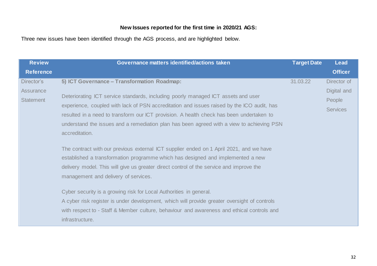### **New Issues reported for the first time in 2020/21 AGS:**

Three new issues have been identified through the AGS process, and are highlighted below.

| <b>Review</b>                                      | Governance matters identified/actions taken                                                                                                                                                                                                                                                                                | <b>Target Date</b> | <b>Lead</b>                                             |
|----------------------------------------------------|----------------------------------------------------------------------------------------------------------------------------------------------------------------------------------------------------------------------------------------------------------------------------------------------------------------------------|--------------------|---------------------------------------------------------|
| <b>Reference</b>                                   |                                                                                                                                                                                                                                                                                                                            |                    | <b>Officer</b>                                          |
| Director's<br><b>Assurance</b><br><b>Statement</b> | 5) ICT Governance - Transformation Roadmap:<br>Deteriorating ICT service standards, including poorly managed ICT assets and user<br>experience, coupled with lack of PSN accreditation and issues raised by the ICO audit, has<br>resulted in a need to transform our ICT provision. A health check has been undertaken to | 31.03.22           | Director of<br>Digital and<br>People<br><b>Services</b> |
|                                                    | understand the issues and a remediation plan has been agreed with a view to achieving PSN<br>accreditation.                                                                                                                                                                                                                |                    |                                                         |
|                                                    | The contract with our previous external ICT supplier ended on 1 April 2021, and we have<br>established a transformation programme which has designed and implemented a new<br>delivery model. This will give us greater direct control of the service and improve the<br>management and delivery of services.              |                    |                                                         |
|                                                    | Cyber security is a growing risk for Local Authorities in general.<br>A cyber risk register is under development, which will provide greater oversight of controls<br>with respect to - Staff & Member culture, behaviour and awareness and ethical controls and<br>infrastructure.                                        |                    |                                                         |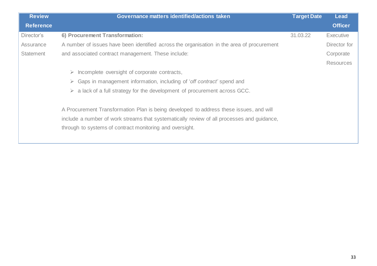| <b>Review</b>    | Governance matters identified/actions taken                                                | <b>Target Date</b> | <b>Lead</b>      |
|------------------|--------------------------------------------------------------------------------------------|--------------------|------------------|
| <b>Reference</b> |                                                                                            |                    | <b>Officer</b>   |
| Director's       | 6) Procurement Transformation:                                                             | 31.03.22           | <b>Executive</b> |
| Assurance        | A number of issues have been identified across the organisation in the area of procurement |                    | Director for     |
| Statement        | and associated contract management. These include:                                         |                    | Corporate        |
|                  |                                                                                            |                    | <b>Resources</b> |
|                  | $\triangleright$ Incomplete oversight of corporate contracts,                              |                    |                  |
|                  | Gaps in management information, including of 'off contract' spend and<br>$\triangleright$  |                    |                  |
|                  | $\triangleright$ a lack of a full strategy for the development of procurement across GCC.  |                    |                  |
|                  | A Procurement Transformation Plan is being developed to address these issues, and will     |                    |                  |
|                  | include a number of work streams that systematically review of all processes and quidance, |                    |                  |
|                  | through to systems of contract monitoring and oversight.                                   |                    |                  |
|                  |                                                                                            |                    |                  |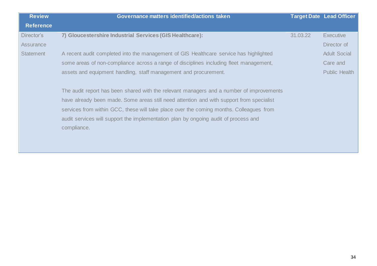| <b>Review</b>    | Governance matters identified/actions taken                                                                                                                                                                                                                                                                                                                                           |          | <b>Target Date Lead Officer</b> |
|------------------|---------------------------------------------------------------------------------------------------------------------------------------------------------------------------------------------------------------------------------------------------------------------------------------------------------------------------------------------------------------------------------------|----------|---------------------------------|
| <b>Reference</b> |                                                                                                                                                                                                                                                                                                                                                                                       |          |                                 |
| Director's       | 7) Gloucestershire Industrial Services (GIS Healthcare):                                                                                                                                                                                                                                                                                                                              | 31.03.22 | <b>Executive</b>                |
| Assurance        |                                                                                                                                                                                                                                                                                                                                                                                       |          | Director of                     |
| <b>Statement</b> | A recent audit completed into the management of GIS Healthcare service has highlighted                                                                                                                                                                                                                                                                                                |          | <b>Adult Social</b>             |
|                  | some areas of non-compliance across a range of disciplines including fleet management,                                                                                                                                                                                                                                                                                                |          | Care and                        |
|                  | assets and equipment handling, staff management and procurement.                                                                                                                                                                                                                                                                                                                      |          | <b>Public Health</b>            |
|                  | The audit report has been shared with the relevant managers and a number of improvements<br>have already been made. Some areas still need attention and with support from specialist<br>services from within GCC, these will take place over the coming months. Colleagues from<br>audit services will support the implementation plan by ongoing audit of process and<br>compliance. |          |                                 |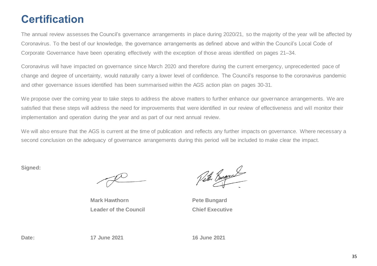# **Certification**

The annual review assesses the Council's governance arrangements in place during 2020/21, so the majority of the year will be affected by Coronavirus. To the best of our knowledge, the governance arrangements as defined above and within the Council's Local Code of Corporate Governance have been operating effectively with the exception of those areas identified on pages 21–34.

Coronavirus will have impacted on governance since March 2020 and therefore during the current emergency, unprecedented pace of change and degree of uncertainty, would naturally carry a lower level of confidence. The Council's response to the coronavirus pandemic and other governance issues identified has been summarised within the AGS action plan on pages 30-31.

We propose over the coming year to take steps to address the above matters to further enhance our governance arrangements. We are satisfied that these steps will address the need for improvements that were identified in our review of effectiveness and will monitor their implementation and operation during the year and as part of our next annual review.

We will also ensure that the AGS is current at the time of publication and reflects any further impacts on governance. Where necessary a second conclusion on the adequacy of governance arrangements during this period will be included to make clear the impact.

**Signed:**

**Mark Hawthorn Leader of the Council**

Veter Burgeral

**Pete Bungard Chief Executive**

**Date: 17 June 2021 16 June 2021**